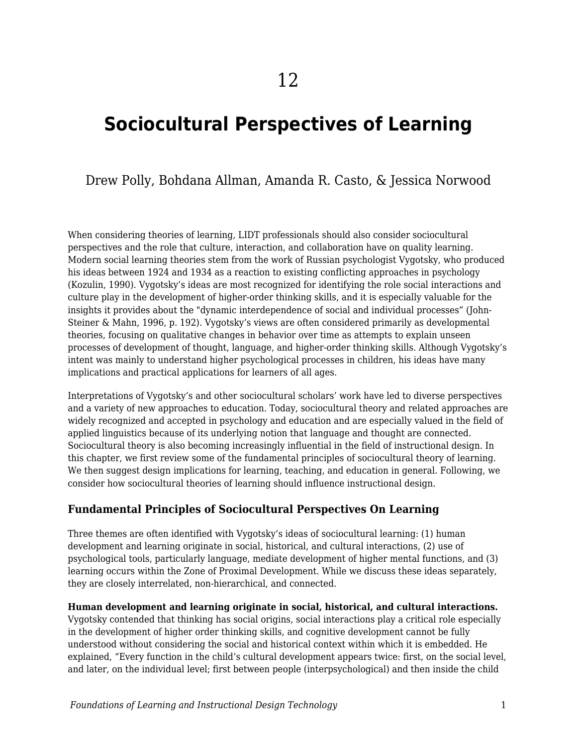# **Sociocultural Perspectives of Learning**

### Drew Polly, Bohdana Allman, Amanda R. Casto, & Jessica Norwood

When considering theories of learning, LIDT professionals should also consider sociocultural perspectives and the role that culture, interaction, and collaboration have on quality learning. Modern social learning theories stem from the work of Russian psychologist Vygotsky, who produced his ideas between 1924 and 1934 as a reaction to existing conflicting approaches in psychology (Kozulin, 1990). Vygotsky's ideas are most recognized for identifying the role social interactions and culture play in the development of higher-order thinking skills, and it is especially valuable for the insights it provides about the "dynamic interdependence of social and individual processes" (John-Steiner & Mahn, 1996, p. 192). Vygotsky's views are often considered primarily as developmental theories, focusing on qualitative changes in behavior over time as attempts to explain unseen processes of development of thought, language, and higher-order thinking skills. Although Vygotsky's intent was mainly to understand higher psychological processes in children, his ideas have many implications and practical applications for learners of all ages.

Interpretations of Vygotsky's and other sociocultural scholars' work have led to diverse perspectives and a variety of new approaches to education. Today, sociocultural theory and related approaches are widely recognized and accepted in psychology and education and are especially valued in the field of applied linguistics because of its underlying notion that language and thought are connected. Sociocultural theory is also becoming increasingly influential in the field of instructional design. In this chapter, we first review some of the fundamental principles of sociocultural theory of learning. We then suggest design implications for learning, teaching, and education in general. Following, we consider how sociocultural theories of learning should influence instructional design.

#### **Fundamental Principles of Sociocultural Perspectives On Learning**

Three themes are often identified with Vygotsky's ideas of sociocultural learning: (1) human development and learning originate in social, historical, and cultural interactions, (2) use of psychological tools, particularly language, mediate development of higher mental functions, and (3) learning occurs within the Zone of Proximal Development. While we discuss these ideas separately, they are closely interrelated, non-hierarchical, and connected.

**Human development and learning originate in social, historical, and cultural interactions.** Vygotsky contended that thinking has social origins, social interactions play a critical role especially in the development of higher order thinking skills, and cognitive development cannot be fully understood without considering the social and historical context within which it is embedded. He explained, "Every function in the child's cultural development appears twice: first, on the social level, and later, on the individual level; first between people (interpsychological) and then inside the child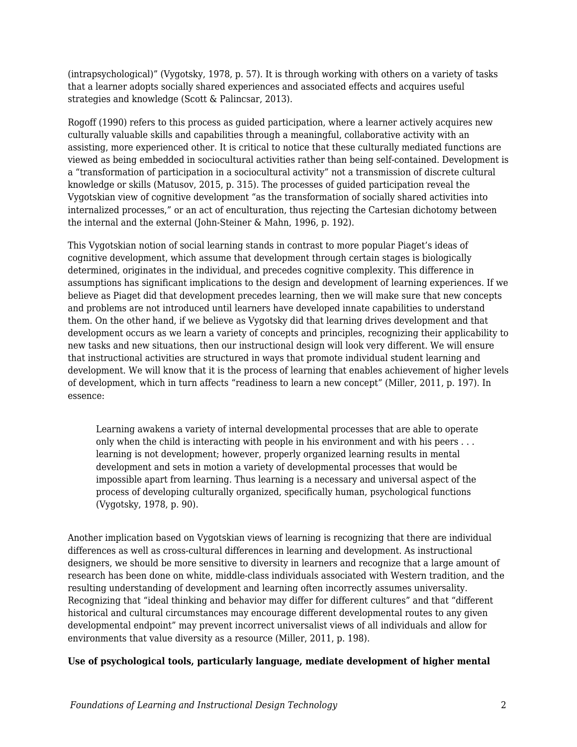(intrapsychological)" (Vygotsky, 1978, p. 57). It is through working with others on a variety of tasks that a learner adopts socially shared experiences and associated effects and acquires useful strategies and knowledge (Scott & Palincsar, 2013).

Rogoff (1990) refers to this process as guided participation, where a learner actively acquires new culturally valuable skills and capabilities through a meaningful, collaborative activity with an assisting, more experienced other. It is critical to notice that these culturally mediated functions are viewed as being embedded in sociocultural activities rather than being self-contained. Development is a "transformation of participation in a sociocultural activity" not a transmission of discrete cultural knowledge or skills (Matusov, 2015, p. 315). The processes of guided participation reveal the Vygotskian view of cognitive development "as the transformation of socially shared activities into internalized processes," or an act of enculturation, thus rejecting the Cartesian dichotomy between the internal and the external (John-Steiner & Mahn, 1996, p. 192).

This Vygotskian notion of social learning stands in contrast to more popular Piaget's ideas of cognitive development, which assume that development through certain stages is biologically determined, originates in the individual, and precedes cognitive complexity. This difference in assumptions has significant implications to the design and development of learning experiences. If we believe as Piaget did that development precedes learning, then we will make sure that new concepts and problems are not introduced until learners have developed innate capabilities to understand them. On the other hand, if we believe as Vygotsky did that learning drives development and that development occurs as we learn a variety of concepts and principles, recognizing their applicability to new tasks and new situations, then our instructional design will look very different. We will ensure that instructional activities are structured in ways that promote individual student learning and development. We will know that it is the process of learning that enables achievement of higher levels of development, which in turn affects "readiness to learn a new concept" (Miller, 2011, p. 197). In essence:

Learning awakens a variety of internal developmental processes that are able to operate only when the child is interacting with people in his environment and with his peers . . . learning is not development; however, properly organized learning results in mental development and sets in motion a variety of developmental processes that would be impossible apart from learning. Thus learning is a necessary and universal aspect of the process of developing culturally organized, specifically human, psychological functions (Vygotsky, 1978, p. 90).

Another implication based on Vygotskian views of learning is recognizing that there are individual differences as well as cross-cultural differences in learning and development. As instructional designers, we should be more sensitive to diversity in learners and recognize that a large amount of research has been done on white, middle-class individuals associated with Western tradition, and the resulting understanding of development and learning often incorrectly assumes universality. Recognizing that "ideal thinking and behavior may differ for different cultures" and that "different historical and cultural circumstances may encourage different developmental routes to any given developmental endpoint" may prevent incorrect universalist views of all individuals and allow for environments that value diversity as a resource (Miller, 2011, p. 198).

#### **Use of psychological tools, particularly language, mediate development of higher mental**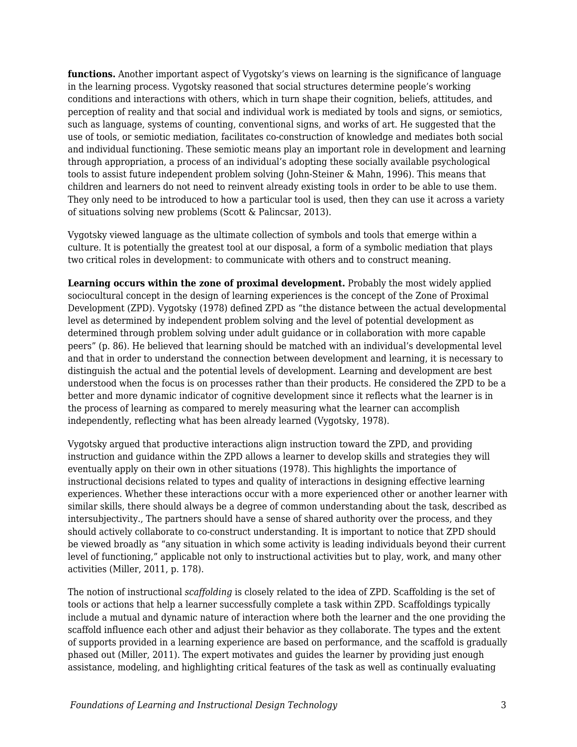**functions.** Another important aspect of Vygotsky's views on learning is the significance of language in the learning process. Vygotsky reasoned that social structures determine people's working conditions and interactions with others, which in turn shape their cognition, beliefs, attitudes, and perception of reality and that social and individual work is mediated by tools and signs, or semiotics, such as language, systems of counting, conventional signs, and works of art. He suggested that the use of tools, or semiotic mediation, facilitates co-construction of knowledge and mediates both social and individual functioning. These semiotic means play an important role in development and learning through appropriation, a process of an individual's adopting these socially available psychological tools to assist future independent problem solving (John-Steiner & Mahn, 1996). This means that children and learners do not need to reinvent already existing tools in order to be able to use them. They only need to be introduced to how a particular tool is used, then they can use it across a variety of situations solving new problems (Scott & Palincsar, 2013).

Vygotsky viewed language as the ultimate collection of symbols and tools that emerge within a culture. It is potentially the greatest tool at our disposal, a form of a symbolic mediation that plays two critical roles in development: to communicate with others and to construct meaning.

**Learning occurs within the zone of proximal development.** Probably the most widely applied sociocultural concept in the design of learning experiences is the concept of the Zone of Proximal Development (ZPD). Vygotsky (1978) defined ZPD as "the distance between the actual developmental level as determined by independent problem solving and the level of potential development as determined through problem solving under adult guidance or in collaboration with more capable peers" (p. 86). He believed that learning should be matched with an individual's developmental level and that in order to understand the connection between development and learning, it is necessary to distinguish the actual and the potential levels of development. Learning and development are best understood when the focus is on processes rather than their products. He considered the ZPD to be a better and more dynamic indicator of cognitive development since it reflects what the learner is in the process of learning as compared to merely measuring what the learner can accomplish independently, reflecting what has been already learned (Vygotsky, 1978).

Vygotsky argued that productive interactions align instruction toward the ZPD, and providing instruction and guidance within the ZPD allows a learner to develop skills and strategies they will eventually apply on their own in other situations (1978). This highlights the importance of instructional decisions related to types and quality of interactions in designing effective learning experiences. Whether these interactions occur with a more experienced other or another learner with similar skills, there should always be a degree of common understanding about the task, described as intersubjectivity., The partners should have a sense of shared authority over the process, and they should actively collaborate to co-construct understanding. It is important to notice that ZPD should be viewed broadly as "any situation in which some activity is leading individuals beyond their current level of functioning," applicable not only to instructional activities but to play, work, and many other activities (Miller, 2011, p. 178).

The notion of instructional *scaffolding* is closely related to the idea of ZPD. Scaffolding is the set of tools or actions that help a learner successfully complete a task within ZPD. Scaffoldings typically include a mutual and dynamic nature of interaction where both the learner and the one providing the scaffold influence each other and adjust their behavior as they collaborate. The types and the extent of supports provided in a learning experience are based on performance, and the scaffold is gradually phased out (Miller, 2011). The expert motivates and guides the learner by providing just enough assistance, modeling, and highlighting critical features of the task as well as continually evaluating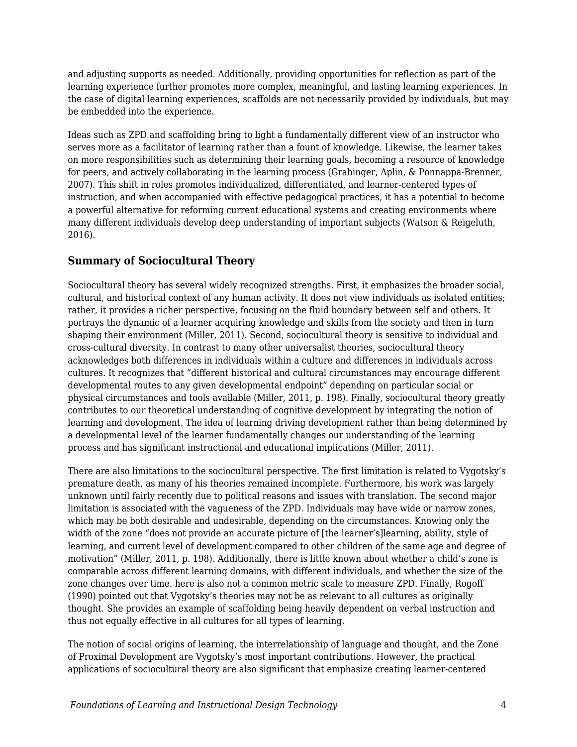and adjusting supports as needed. Additionally, providing opportunities for reflection as part of the learning experience further promotes more complex, meaningful, and lasting learning experiences. In the case of digital learning experiences, scaffolds are not necessarily provided by individuals, but may be embedded into the experience.

Ideas such as ZPD and scaffolding bring to light a fundamentally different view of an instructor who serves more as a facilitator of learning rather than a fount of knowledge. Likewise, the learner takes on more responsibilities such as determining their learning goals, becoming a resource of knowledge for peers, and actively collaborating in the learning process (Grabinger, Aplin, & Ponnappa-Brenner, 2007). This shift in roles promotes individualized, differentiated, and learner-centered types of instruction, and when accompanied with effective pedagogical practices, it has a potential to become a powerful alternative for reforming current educational systems and creating environments where many different individuals develop deep understanding of important subjects (Watson & Reigeluth, 2016).

### **Summary of Sociocultural Theory**

Sociocultural theory has several widely recognized strengths. First, it emphasizes the broader social, cultural, and historical context of any human activity. It does not view individuals as isolated entities; rather, it provides a richer perspective, focusing on the fluid boundary between self and others. It portrays the dynamic of a learner acquiring knowledge and skills from the society and then in turn shaping their environment (Miller, 2011). Second, sociocultural theory is sensitive to individual and cross-cultural diversity. In contrast to many other universalist theories, sociocultural theory acknowledges both differences in individuals within a culture and differences in individuals across cultures. It recognizes that "different historical and cultural circumstances may encourage different developmental routes to any given developmental endpoint" depending on particular social or physical circumstances and tools available (Miller, 2011, p. 198). Finally, sociocultural theory greatly contributes to our theoretical understanding of cognitive development by integrating the notion of learning and development. The idea of learning driving development rather than being determined by a developmental level of the learner fundamentally changes our understanding of the learning process and has significant instructional and educational implications (Miller, 2011).

There are also limitations to the sociocultural perspective. The first limitation is related to Vygotsky's premature death, as many of his theories remained incomplete. Furthermore, his work was largely unknown until fairly recently due to political reasons and issues with translation. The second major limitation is associated with the vagueness of the ZPD. Individuals may have wide or narrow zones, which may be both desirable and undesirable, depending on the circumstances. Knowing only the width of the zone "does not provide an accurate picture of [the learner's]learning, ability, style of learning, and current level of development compared to other children of the same age and degree of motivation" (Miller, 2011, p. 198). Additionally, there is little known about whether a child's zone is comparable across different learning domains, with different individuals, and whether the size of the zone changes over time. here is also not a common metric scale to measure ZPD. Finally, Rogoff (1990) pointed out that Vygotsky's theories may not be as relevant to all cultures as originally thought. She provides an example of scaffolding being heavily dependent on verbal instruction and thus not equally effective in all cultures for all types of learning.

The notion of social origins of learning, the interrelationship of language and thought, and the Zone of Proximal Development are Vygotsky's most important contributions. However, the practical applications of sociocultural theory are also significant that emphasize creating learner-centered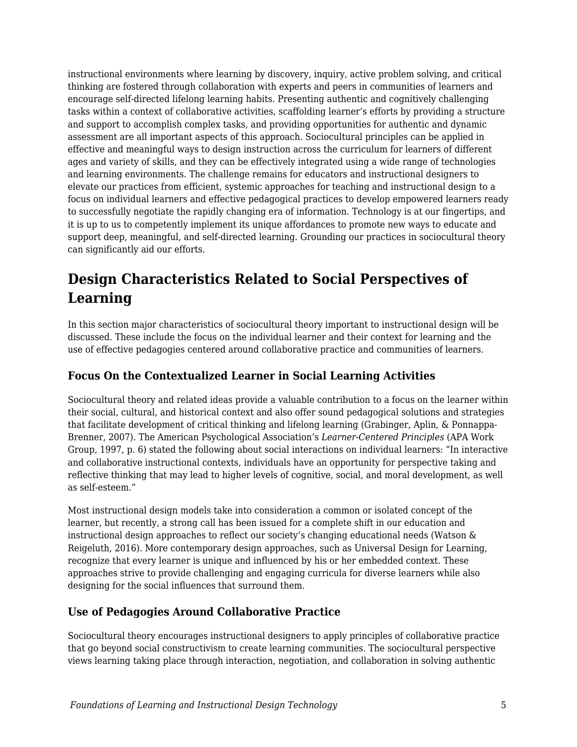instructional environments where learning by discovery, inquiry, active problem solving, and critical thinking are fostered through collaboration with experts and peers in communities of learners and encourage self-directed lifelong learning habits. Presenting authentic and cognitively challenging tasks within a context of collaborative activities, scaffolding learner's efforts by providing a structure and support to accomplish complex tasks, and providing opportunities for authentic and dynamic assessment are all important aspects of this approach. Sociocultural principles can be applied in effective and meaningful ways to design instruction across the curriculum for learners of different ages and variety of skills, and they can be effectively integrated using a wide range of technologies and learning environments. The challenge remains for educators and instructional designers to elevate our practices from efficient, systemic approaches for teaching and instructional design to a focus on individual learners and effective pedagogical practices to develop empowered learners ready to successfully negotiate the rapidly changing era of information. Technology is at our fingertips, and it is up to us to competently implement its unique affordances to promote new ways to educate and support deep, meaningful, and self-directed learning. Grounding our practices in sociocultural theory can significantly aid our efforts.

## **Design Characteristics Related to Social Perspectives of Learning**

In this section major characteristics of sociocultural theory important to instructional design will be discussed. These include the focus on the individual learner and their context for learning and the use of effective pedagogies centered around collaborative practice and communities of learners.

#### **Focus On the Contextualized Learner in Social Learning Activities**

Sociocultural theory and related ideas provide a valuable contribution to a focus on the learner within their social, cultural, and historical context and also offer sound pedagogical solutions and strategies that facilitate development of critical thinking and lifelong learning (Grabinger, Aplin, & Ponnappa-Brenner, 2007). The American Psychological Association's *Learner-Centered Principles* (APA Work Group, 1997, p. 6) stated the following about social interactions on individual learners: "In interactive and collaborative instructional contexts, individuals have an opportunity for perspective taking and reflective thinking that may lead to higher levels of cognitive, social, and moral development, as well as self-esteem."

Most instructional design models take into consideration a common or isolated concept of the learner, but recently, a strong call has been issued for a complete shift in our education and instructional design approaches to reflect our society's changing educational needs (Watson & Reigeluth, 2016). More contemporary design approaches, such as Universal Design for Learning, recognize that every learner is unique and influenced by his or her embedded context. These approaches strive to provide challenging and engaging curricula for diverse learners while also designing for the social influences that surround them.

### **Use of Pedagogies Around Collaborative Practice**

Sociocultural theory encourages instructional designers to apply principles of collaborative practice that go beyond social constructivism to create learning communities. The sociocultural perspective views learning taking place through interaction, negotiation, and collaboration in solving authentic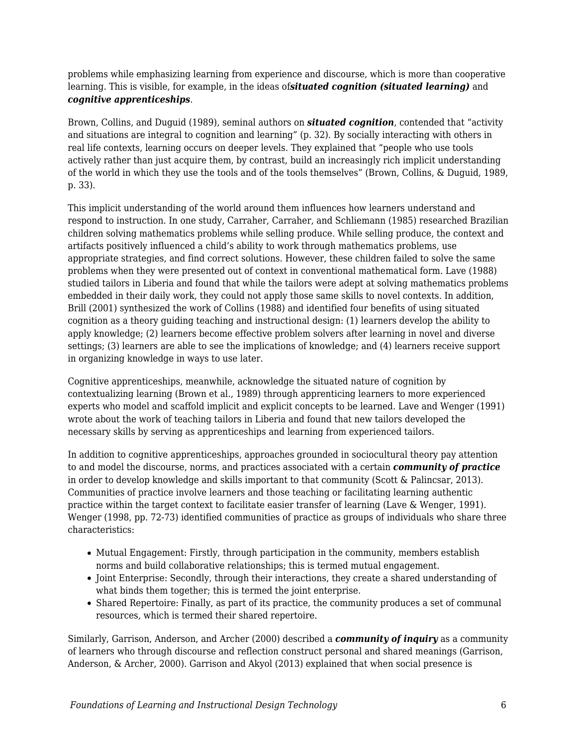problems while emphasizing learning from experience and discourse, which is more than cooperative learning. This is visible, for example, in the ideas of*situated cognition (situated learning)* and *cognitive apprenticeships*.

Brown, Collins, and Duguid (1989), seminal authors on *situated cognition*, contended that "activity and situations are integral to cognition and learning" (p. 32). By socially interacting with others in real life contexts, learning occurs on deeper levels. They explained that "people who use tools actively rather than just acquire them, by contrast, build an increasingly rich implicit understanding of the world in which they use the tools and of the tools themselves" (Brown, Collins, & Duguid, 1989, p. 33).

This implicit understanding of the world around them influences how learners understand and respond to instruction. In one study, Carraher, Carraher, and Schliemann (1985) researched Brazilian children solving mathematics problems while selling produce. While selling produce, the context and artifacts positively influenced a child's ability to work through mathematics problems, use appropriate strategies, and find correct solutions. However, these children failed to solve the same problems when they were presented out of context in conventional mathematical form. Lave (1988) studied tailors in Liberia and found that while the tailors were adept at solving mathematics problems embedded in their daily work, they could not apply those same skills to novel contexts. In addition, Brill (2001) synthesized the work of Collins (1988) and identified four benefits of using situated cognition as a theory guiding teaching and instructional design: (1) learners develop the ability to apply knowledge; (2) learners become effective problem solvers after learning in novel and diverse settings; (3) learners are able to see the implications of knowledge; and (4) learners receive support in organizing knowledge in ways to use later.

Cognitive apprenticeships, meanwhile, acknowledge the situated nature of cognition by contextualizing learning (Brown et al., 1989) through apprenticing learners to more experienced experts who model and scaffold implicit and explicit concepts to be learned. Lave and Wenger (1991) wrote about the work of teaching tailors in Liberia and found that new tailors developed the necessary skills by serving as apprenticeships and learning from experienced tailors.

In addition to cognitive apprenticeships, approaches grounded in sociocultural theory pay attention to and model the discourse, norms, and practices associated with a certain *community of practice* in order to develop knowledge and skills important to that community (Scott & Palincsar, 2013). Communities of practice involve learners and those teaching or facilitating learning authentic practice within the target context to facilitate easier transfer of learning (Lave & Wenger, 1991). Wenger (1998, pp. 72-73) identified communities of practice as groups of individuals who share three characteristics:

- Mutual Engagement: Firstly, through participation in the community, members establish norms and build collaborative relationships; this is termed mutual engagement.
- Joint Enterprise: Secondly, through their interactions, they create a shared understanding of what binds them together; this is termed the joint enterprise.
- Shared Repertoire: Finally, as part of its practice, the community produces a set of communal resources, which is termed their shared repertoire.

Similarly, Garrison, Anderson, and Archer (2000) described a *community of inquiry* as a community of learners who through discourse and reflection construct personal and shared meanings (Garrison, Anderson, & Archer, 2000). Garrison and Akyol (2013) explained that when social presence is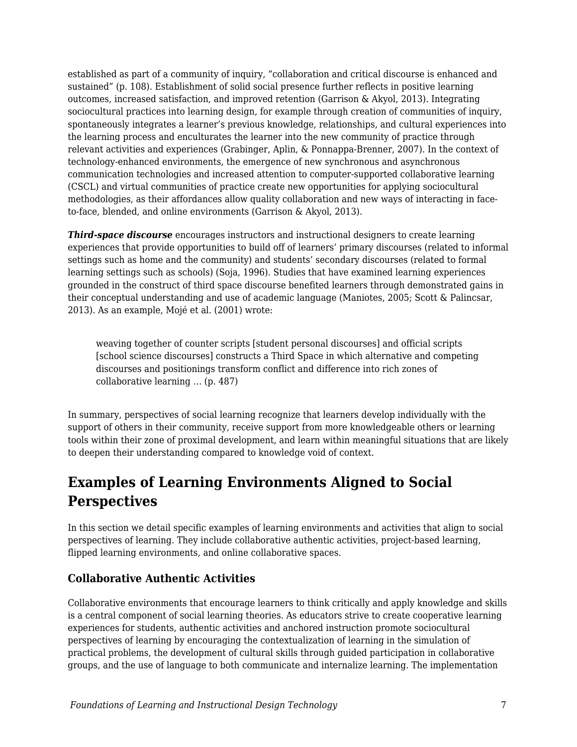established as part of a community of inquiry, "collaboration and critical discourse is enhanced and sustained" (p. 108). Establishment of solid social presence further reflects in positive learning outcomes, increased satisfaction, and improved retention (Garrison & Akyol, 2013). Integrating sociocultural practices into learning design, for example through creation of communities of inquiry, spontaneously integrates a learner's previous knowledge, relationships, and cultural experiences into the learning process and enculturates the learner into the new community of practice through relevant activities and experiences (Grabinger, Aplin, & Ponnappa-Brenner, 2007). In the context of technology-enhanced environments, the emergence of new synchronous and asynchronous communication technologies and increased attention to computer-supported collaborative learning (CSCL) and virtual communities of practice create new opportunities for applying sociocultural methodologies, as their affordances allow quality collaboration and new ways of interacting in faceto-face, blended, and online environments (Garrison & Akyol, 2013).

*Third-space discourse* encourages instructors and instructional designers to create learning experiences that provide opportunities to build off of learners' primary discourses (related to informal settings such as home and the community) and students' secondary discourses (related to formal learning settings such as schools) (Soja, 1996). Studies that have examined learning experiences grounded in the construct of third space discourse benefited learners through demonstrated gains in their conceptual understanding and use of academic language (Maniotes, 2005; Scott & Palincsar, 2013). As an example, Mojé et al. (2001) wrote:

weaving together of counter scripts [student personal discourses] and official scripts [school science discourses] constructs a Third Space in which alternative and competing discourses and positionings transform conflict and difference into rich zones of collaborative learning … (p. 487)

In summary, perspectives of social learning recognize that learners develop individually with the support of others in their community, receive support from more knowledgeable others or learning tools within their zone of proximal development, and learn within meaningful situations that are likely to deepen their understanding compared to knowledge void of context.

## **Examples of Learning Environments Aligned to Social Perspectives**

In this section we detail specific examples of learning environments and activities that align to social perspectives of learning. They include collaborative authentic activities, project-based learning, flipped learning environments, and online collaborative spaces.

#### **Collaborative Authentic Activities**

Collaborative environments that encourage learners to think critically and apply knowledge and skills is a central component of social learning theories. As educators strive to create cooperative learning experiences for students, authentic activities and anchored instruction promote sociocultural perspectives of learning by encouraging the contextualization of learning in the simulation of practical problems, the development of cultural skills through guided participation in collaborative groups, and the use of language to both communicate and internalize learning. The implementation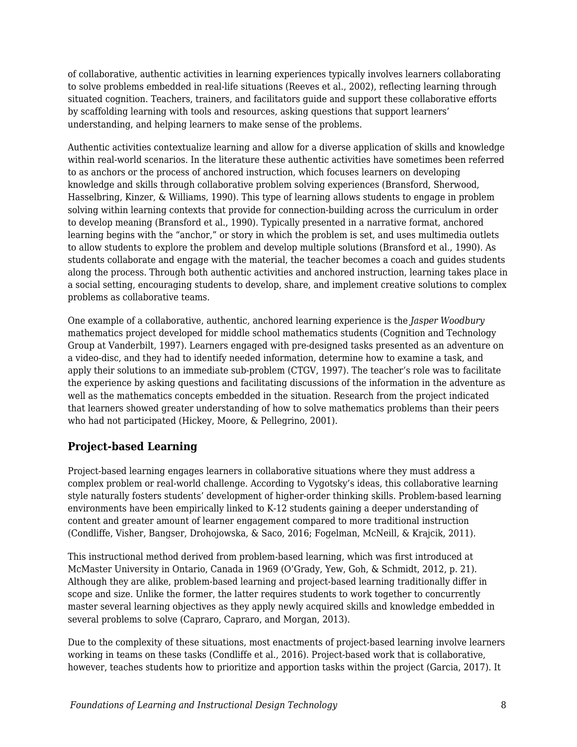of collaborative, authentic activities in learning experiences typically involves learners collaborating to solve problems embedded in real-life situations (Reeves et al., 2002), reflecting learning through situated cognition. Teachers, trainers, and facilitators guide and support these collaborative efforts by scaffolding learning with tools and resources, asking questions that support learners' understanding, and helping learners to make sense of the problems.

Authentic activities contextualize learning and allow for a diverse application of skills and knowledge within real-world scenarios. In the literature these authentic activities have sometimes been referred to as anchors or the process of anchored instruction, which focuses learners on developing knowledge and skills through collaborative problem solving experiences (Bransford, Sherwood, Hasselbring, Kinzer, & Williams, 1990). This type of learning allows students to engage in problem solving within learning contexts that provide for connection-building across the curriculum in order to develop meaning (Bransford et al., 1990). Typically presented in a narrative format, anchored learning begins with the "anchor," or story in which the problem is set, and uses multimedia outlets to allow students to explore the problem and develop multiple solutions (Bransford et al., 1990). As students collaborate and engage with the material, the teacher becomes a coach and guides students along the process. Through both authentic activities and anchored instruction, learning takes place in a social setting, encouraging students to develop, share, and implement creative solutions to complex problems as collaborative teams.

One example of a collaborative, authentic, anchored learning experience is the *Jasper Woodbury* mathematics project developed for middle school mathematics students (Cognition and Technology Group at Vanderbilt, 1997). Learners engaged with pre-designed tasks presented as an adventure on a video-disc, and they had to identify needed information, determine how to examine a task, and apply their solutions to an immediate sub-problem (CTGV, 1997). The teacher's role was to facilitate the experience by asking questions and facilitating discussions of the information in the adventure as well as the mathematics concepts embedded in the situation. Research from the project indicated that learners showed greater understanding of how to solve mathematics problems than their peers who had not participated (Hickey, Moore, & Pellegrino, 2001).

### **Project-based Learning**

Project-based learning engages learners in collaborative situations where they must address a complex problem or real-world challenge. According to Vygotsky's ideas, this collaborative learning style naturally fosters students' development of higher-order thinking skills. Problem-based learning environments have been empirically linked to K-12 students gaining a deeper understanding of content and greater amount of learner engagement compared to more traditional instruction (Condliffe, Visher, Bangser, Drohojowska, & Saco, 2016; Fogelman, McNeill, & Krajcik, 2011).

This instructional method derived from problem-based learning, which was first introduced at McMaster University in Ontario, Canada in 1969 (O'Grady, Yew, Goh, & Schmidt, 2012, p. 21). Although they are alike, problem-based learning and project-based learning traditionally differ in scope and size. Unlike the former, the latter requires students to work together to concurrently master several learning objectives as they apply newly acquired skills and knowledge embedded in several problems to solve (Capraro, Capraro, and Morgan, 2013).

Due to the complexity of these situations, most enactments of project-based learning involve learners working in teams on these tasks (Condliffe et al., 2016). Project-based work that is collaborative, however, teaches students how to prioritize and apportion tasks within the project (Garcia, 2017). It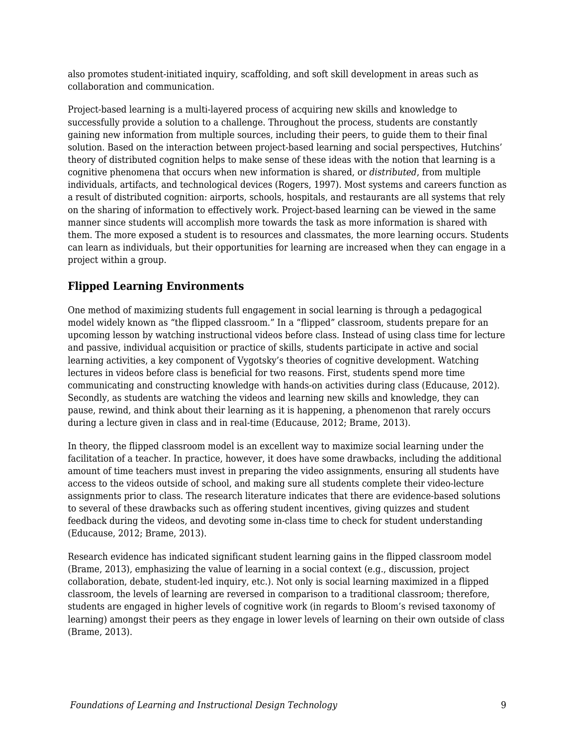also promotes student-initiated inquiry, scaffolding, and soft skill development in areas such as collaboration and communication.

Project-based learning is a multi-layered process of acquiring new skills and knowledge to successfully provide a solution to a challenge. Throughout the process, students are constantly gaining new information from multiple sources, including their peers, to guide them to their final solution. Based on the interaction between project-based learning and social perspectives, Hutchins' theory of distributed cognition helps to make sense of these ideas with the notion that learning is a cognitive phenomena that occurs when new information is shared, or *distributed*, from multiple individuals, artifacts, and technological devices (Rogers, 1997). Most systems and careers function as a result of distributed cognition: airports, schools, hospitals, and restaurants are all systems that rely on the sharing of information to effectively work. Project-based learning can be viewed in the same manner since students will accomplish more towards the task as more information is shared with them. The more exposed a student is to resources and classmates, the more learning occurs. Students can learn as individuals, but their opportunities for learning are increased when they can engage in a project within a group.

#### **Flipped Learning Environments**

One method of maximizing students full engagement in social learning is through a pedagogical model widely known as "the flipped classroom." In a "flipped" classroom, students prepare for an upcoming lesson by watching instructional videos before class. Instead of using class time for lecture and passive, individual acquisition or practice of skills, students participate in active and social learning activities, a key component of Vygotsky's theories of cognitive development. Watching lectures in videos before class is beneficial for two reasons. First, students spend more time communicating and constructing knowledge with hands-on activities during class (Educause, 2012). Secondly, as students are watching the videos and learning new skills and knowledge, they can pause, rewind, and think about their learning as it is happening, a phenomenon that rarely occurs during a lecture given in class and in real-time (Educause, 2012; Brame, 2013).

In theory, the flipped classroom model is an excellent way to maximize social learning under the facilitation of a teacher. In practice, however, it does have some drawbacks, including the additional amount of time teachers must invest in preparing the video assignments, ensuring all students have access to the videos outside of school, and making sure all students complete their video-lecture assignments prior to class. The research literature indicates that there are evidence-based solutions to several of these drawbacks such as offering student incentives, giving quizzes and student feedback during the videos, and devoting some in-class time to check for student understanding (Educause, 2012; Brame, 2013).

Research evidence has indicated significant student learning gains in the flipped classroom model (Brame, 2013), emphasizing the value of learning in a social context (e.g., discussion, project collaboration, debate, student-led inquiry, etc.). Not only is social learning maximized in a flipped classroom, the levels of learning are reversed in comparison to a traditional classroom; therefore, students are engaged in higher levels of cognitive work (in regards to Bloom's revised taxonomy of learning) amongst their peers as they engage in lower levels of learning on their own outside of class (Brame, 2013).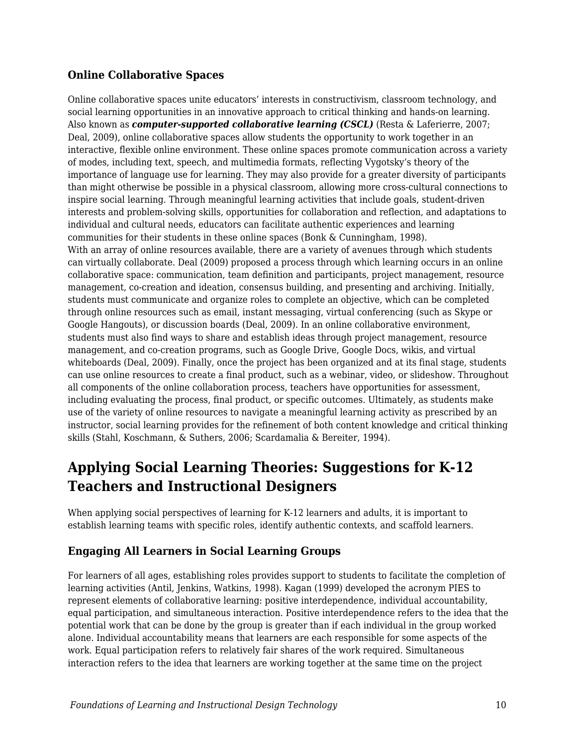#### **Online Collaborative Spaces**

Online collaborative spaces unite educators' interests in constructivism, classroom technology, and social learning opportunities in an innovative approach to critical thinking and hands-on learning. Also known as *computer-supported collaborative learning (CSCL)* (Resta & Laferierre, 2007; Deal, 2009), online collaborative spaces allow students the opportunity to work together in an interactive, flexible online environment. These online spaces promote communication across a variety of modes, including text, speech, and multimedia formats, reflecting Vygotsky's theory of the importance of language use for learning. They may also provide for a greater diversity of participants than might otherwise be possible in a physical classroom, allowing more cross-cultural connections to inspire social learning. Through meaningful learning activities that include goals, student-driven interests and problem-solving skills, opportunities for collaboration and reflection, and adaptations to individual and cultural needs, educators can facilitate authentic experiences and learning communities for their students in these online spaces (Bonk & Cunningham, 1998). With an array of online resources available, there are a variety of avenues through which students can virtually collaborate. Deal (2009) proposed a process through which learning occurs in an online collaborative space: communication, team definition and participants, project management, resource management, co-creation and ideation, consensus building, and presenting and archiving. Initially, students must communicate and organize roles to complete an objective, which can be completed through online resources such as email, instant messaging, virtual conferencing (such as Skype or Google Hangouts), or discussion boards (Deal, 2009). In an online collaborative environment, students must also find ways to share and establish ideas through project management, resource management, and co-creation programs, such as Google Drive, Google Docs, wikis, and virtual whiteboards (Deal, 2009). Finally, once the project has been organized and at its final stage, students can use online resources to create a final product, such as a webinar, video, or slideshow. Throughout all components of the online collaboration process, teachers have opportunities for assessment, including evaluating the process, final product, or specific outcomes. Ultimately, as students make use of the variety of online resources to navigate a meaningful learning activity as prescribed by an instructor, social learning provides for the refinement of both content knowledge and critical thinking skills (Stahl, Koschmann, & Suthers, 2006; Scardamalia & Bereiter, 1994).

### **Applying Social Learning Theories: Suggestions for K-12 Teachers and Instructional Designers**

When applying social perspectives of learning for K-12 learners and adults, it is important to establish learning teams with specific roles, identify authentic contexts, and scaffold learners.

### **Engaging All Learners in Social Learning Groups**

For learners of all ages, establishing roles provides support to students to facilitate the completion of learning activities (Antil, Jenkins, Watkins, 1998). Kagan (1999) developed the acronym PIES to represent elements of collaborative learning: positive interdependence, individual accountability, equal participation, and simultaneous interaction. Positive interdependence refers to the idea that the potential work that can be done by the group is greater than if each individual in the group worked alone. Individual accountability means that learners are each responsible for some aspects of the work. Equal participation refers to relatively fair shares of the work required. Simultaneous interaction refers to the idea that learners are working together at the same time on the project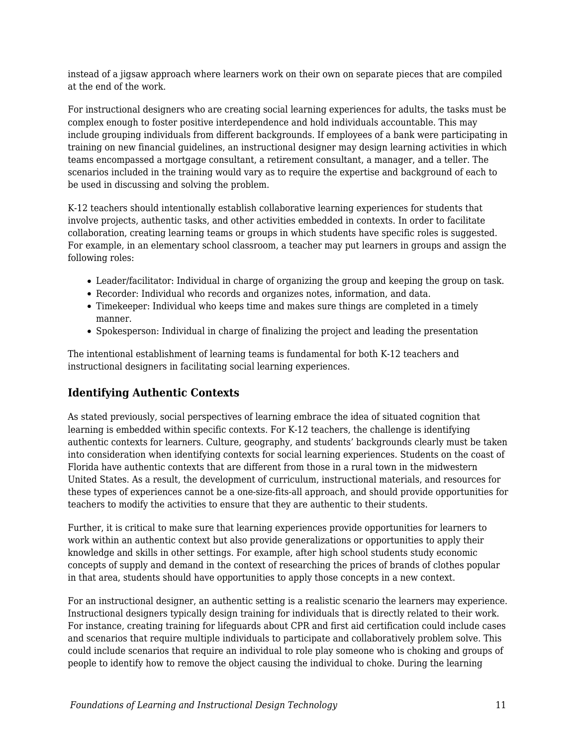instead of a jigsaw approach where learners work on their own on separate pieces that are compiled at the end of the work.

For instructional designers who are creating social learning experiences for adults, the tasks must be complex enough to foster positive interdependence and hold individuals accountable. This may include grouping individuals from different backgrounds. If employees of a bank were participating in training on new financial guidelines, an instructional designer may design learning activities in which teams encompassed a mortgage consultant, a retirement consultant, a manager, and a teller. The scenarios included in the training would vary as to require the expertise and background of each to be used in discussing and solving the problem.

K-12 teachers should intentionally establish collaborative learning experiences for students that involve projects, authentic tasks, and other activities embedded in contexts. In order to facilitate collaboration, creating learning teams or groups in which students have specific roles is suggested. For example, in an elementary school classroom, a teacher may put learners in groups and assign the following roles:

- Leader/facilitator: Individual in charge of organizing the group and keeping the group on task.
- Recorder: Individual who records and organizes notes, information, and data.
- Timekeeper: Individual who keeps time and makes sure things are completed in a timely manner.
- Spokesperson: Individual in charge of finalizing the project and leading the presentation

The intentional establishment of learning teams is fundamental for both K-12 teachers and instructional designers in facilitating social learning experiences.

#### **Identifying Authentic Contexts**

As stated previously, social perspectives of learning embrace the idea of situated cognition that learning is embedded within specific contexts. For K-12 teachers, the challenge is identifying authentic contexts for learners. Culture, geography, and students' backgrounds clearly must be taken into consideration when identifying contexts for social learning experiences. Students on the coast of Florida have authentic contexts that are different from those in a rural town in the midwestern United States. As a result, the development of curriculum, instructional materials, and resources for these types of experiences cannot be a one-size-fits-all approach, and should provide opportunities for teachers to modify the activities to ensure that they are authentic to their students.

Further, it is critical to make sure that learning experiences provide opportunities for learners to work within an authentic context but also provide generalizations or opportunities to apply their knowledge and skills in other settings. For example, after high school students study economic concepts of supply and demand in the context of researching the prices of brands of clothes popular in that area, students should have opportunities to apply those concepts in a new context.

For an instructional designer, an authentic setting is a realistic scenario the learners may experience. Instructional designers typically design training for individuals that is directly related to their work. For instance, creating training for lifeguards about CPR and first aid certification could include cases and scenarios that require multiple individuals to participate and collaboratively problem solve. This could include scenarios that require an individual to role play someone who is choking and groups of people to identify how to remove the object causing the individual to choke. During the learning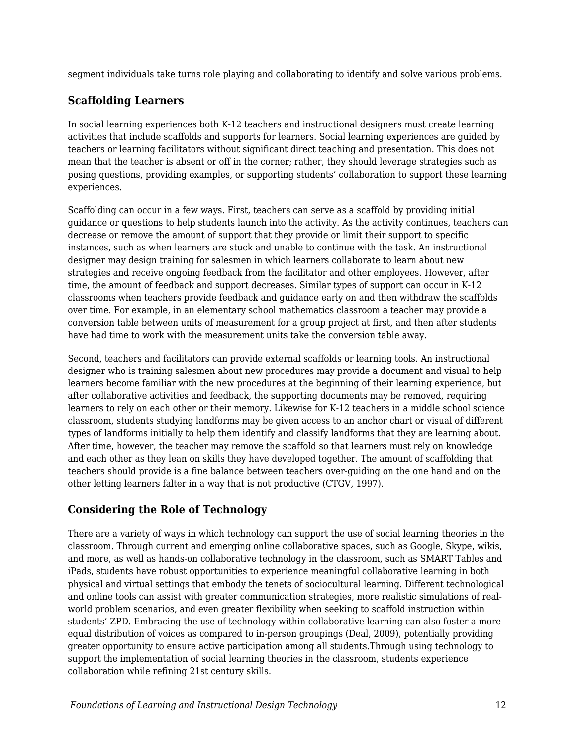segment individuals take turns role playing and collaborating to identify and solve various problems.

#### **Scaffolding Learners**

In social learning experiences both K-12 teachers and instructional designers must create learning activities that include scaffolds and supports for learners. Social learning experiences are guided by teachers or learning facilitators without significant direct teaching and presentation. This does not mean that the teacher is absent or off in the corner; rather, they should leverage strategies such as posing questions, providing examples, or supporting students' collaboration to support these learning experiences.

Scaffolding can occur in a few ways. First, teachers can serve as a scaffold by providing initial guidance or questions to help students launch into the activity. As the activity continues, teachers can decrease or remove the amount of support that they provide or limit their support to specific instances, such as when learners are stuck and unable to continue with the task. An instructional designer may design training for salesmen in which learners collaborate to learn about new strategies and receive ongoing feedback from the facilitator and other employees. However, after time, the amount of feedback and support decreases. Similar types of support can occur in K-12 classrooms when teachers provide feedback and guidance early on and then withdraw the scaffolds over time. For example, in an elementary school mathematics classroom a teacher may provide a conversion table between units of measurement for a group project at first, and then after students have had time to work with the measurement units take the conversion table away.

Second, teachers and facilitators can provide external scaffolds or learning tools. An instructional designer who is training salesmen about new procedures may provide a document and visual to help learners become familiar with the new procedures at the beginning of their learning experience, but after collaborative activities and feedback, the supporting documents may be removed, requiring learners to rely on each other or their memory. Likewise for K-12 teachers in a middle school science classroom, students studying landforms may be given access to an anchor chart or visual of different types of landforms initially to help them identify and classify landforms that they are learning about. After time, however, the teacher may remove the scaffold so that learners must rely on knowledge and each other as they lean on skills they have developed together. The amount of scaffolding that teachers should provide is a fine balance between teachers over-guiding on the one hand and on the other letting learners falter in a way that is not productive (CTGV, 1997).

### **Considering the Role of Technology**

There are a variety of ways in which technology can support the use of social learning theories in the classroom. Through current and emerging online collaborative spaces, such as Google, Skype, wikis, and more, as well as hands-on collaborative technology in the classroom, such as SMART Tables and iPads, students have robust opportunities to experience meaningful collaborative learning in both physical and virtual settings that embody the tenets of sociocultural learning. Different technological and online tools can assist with greater communication strategies, more realistic simulations of realworld problem scenarios, and even greater flexibility when seeking to scaffold instruction within students' ZPD. Embracing the use of technology within collaborative learning can also foster a more equal distribution of voices as compared to in-person groupings (Deal, 2009), potentially providing greater opportunity to ensure active participation among all students.Through using technology to support the implementation of social learning theories in the classroom, students experience collaboration while refining 21st century skills.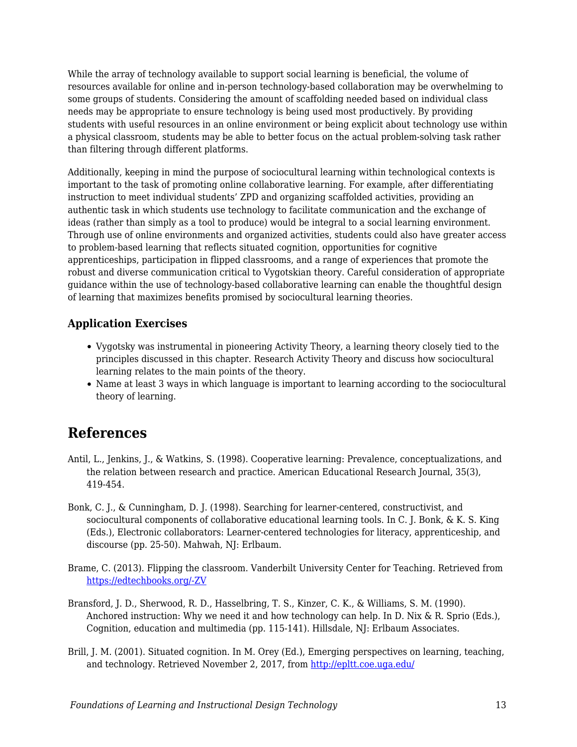While the array of technology available to support social learning is beneficial, the volume of resources available for online and in-person technology-based collaboration may be overwhelming to some groups of students. Considering the amount of scaffolding needed based on individual class needs may be appropriate to ensure technology is being used most productively. By providing students with useful resources in an online environment or being explicit about technology use within a physical classroom, students may be able to better focus on the actual problem-solving task rather than filtering through different platforms.

Additionally, keeping in mind the purpose of sociocultural learning within technological contexts is important to the task of promoting online collaborative learning. For example, after differentiating instruction to meet individual students' ZPD and organizing scaffolded activities, providing an authentic task in which students use technology to facilitate communication and the exchange of ideas (rather than simply as a tool to produce) would be integral to a social learning environment. Through use of online environments and organized activities, students could also have greater access to problem-based learning that reflects situated cognition, opportunities for cognitive apprenticeships, participation in flipped classrooms, and a range of experiences that promote the robust and diverse communication critical to Vygotskian theory. Careful consideration of appropriate guidance within the use of technology-based collaborative learning can enable the thoughtful design of learning that maximizes benefits promised by sociocultural learning theories.

#### **Application Exercises**

- Vygotsky was instrumental in pioneering Activity Theory, a learning theory closely tied to the principles discussed in this chapter. Research Activity Theory and discuss how sociocultural learning relates to the main points of the theory.
- Name at least 3 ways in which language is important to learning according to the sociocultural theory of learning.

### **References**

- Antil, L., Jenkins, J., & Watkins, S. (1998). Cooperative learning: Prevalence, conceptualizations, and the relation between research and practice. American Educational Research Journal, 35(3), 419-454.
- Bonk, C. J., & Cunningham, D. J. (1998). Searching for learner-centered, constructivist, and sociocultural components of collaborative educational learning tools. In C. J. Bonk, & K. S. King (Eds.), Electronic collaborators: Learner-centered technologies for literacy, apprenticeship, and discourse (pp. 25-50). Mahwah, NJ: Erlbaum.
- Brame, C. (2013). Flipping the classroom. Vanderbilt University Center for Teaching. Retrieved from [https://edtechbooks.org/-ZV](http://cft.vanderbilt.edu/guides-sub-pages/flipping-the-classroom/)
- Bransford, J. D., Sherwood, R. D., Hasselbring, T. S., Kinzer, C. K., & Williams, S. M. (1990). Anchored instruction: Why we need it and how technology can help. In D. Nix & R. Sprio (Eds.), Cognition, education and multimedia (pp. 115-141). Hillsdale, NJ: Erlbaum Associates.
- Brill, J. M. (2001). Situated cognition. In M. Orey (Ed.), Emerging perspectives on learning, teaching, and technology. Retrieved November 2, 2017, from <http://epltt.coe.uga.edu/>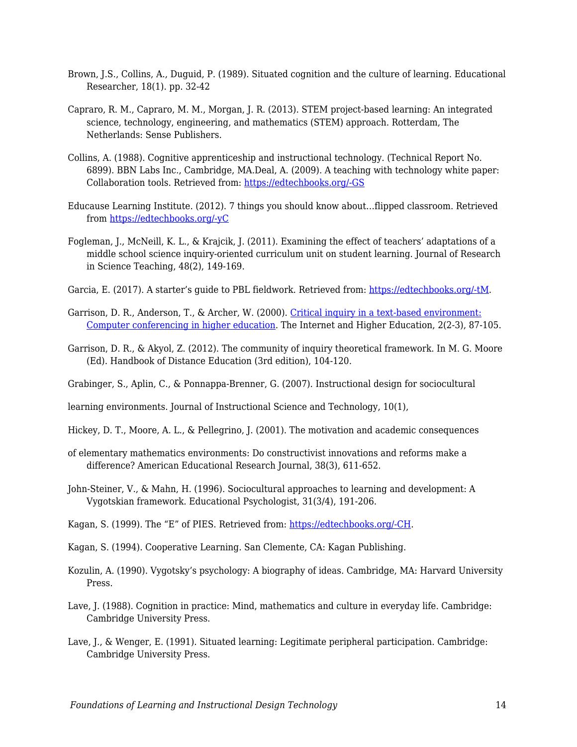- Brown, J.S., Collins, A., Duguid, P. (1989). Situated cognition and the culture of learning. Educational Researcher, 18(1). pp. 32-42
- Capraro, R. M., Capraro, M. M., Morgan, J. R. (2013). STEM project-based learning: An integrated science, technology, engineering, and mathematics (STEM) approach. Rotterdam, The Netherlands: Sense Publishers.
- Collins, A. (1988). Cognitive apprenticeship and instructional technology. (Technical Report No. 6899). BBN Labs Inc., Cambridge, MA.Deal, A. (2009). A teaching with technology white paper: Collaboration tools. Retrieved from: [https://edtechbooks.org/-GS](https://www.cmu.edu/teaching/technology/whitepapers/CollaborationTools_Jan09.pdf)
- Educause Learning Institute. (2012). 7 things you should know about…flipped classroom. Retrieved from [https://edtechbooks.org/-yC](https://net.educause.edu/ir/library/pdf/eli7081.pdf)
- Fogleman, J., McNeill, K. L., & Krajcik, J. (2011). Examining the effect of teachers' adaptations of a middle school science inquiry-oriented curriculum unit on student learning. Journal of Research in Science Teaching, 48(2), 149-169.
- Garcia, E. (2017). A starter's guide to PBL fieldwork. Retrieved from: [https://edtechbooks.org/-tM](https://www.edutopia.org/article/starters-guide-pbl-fieldwork).
- Garrison, D. R., Anderson, T., & Archer, W. (2000). [Critical inquiry in a text-based environment:](http://cde.athabascau.ca/coi_site/documents/Garrison_Anderson_Archer_Critical_Inquiry_model.pdf) [Computer conferencing in higher education](http://cde.athabascau.ca/coi_site/documents/Garrison_Anderson_Archer_Critical_Inquiry_model.pdf). The Internet and Higher Education, 2(2-3), 87-105.
- Garrison, D. R., & Akyol, Z. (2012). The community of inquiry theoretical framework. In M. G. Moore (Ed). Handbook of Distance Education (3rd edition), 104-120.
- Grabinger, S., Aplin, C., & Ponnappa-Brenner, G. (2007). Instructional design for sociocultural

learning environments. Journal of Instructional Science and Technology, 10(1),

- Hickey, D. T., Moore, A. L., & Pellegrino, J. (2001). The motivation and academic consequences
- of elementary mathematics environments: Do constructivist innovations and reforms make a difference? American Educational Research Journal, 38(3), 611-652.
- John-Steiner, V., & Mahn, H. (1996). Sociocultural approaches to learning and development: A Vygotskian framework. Educational Psychologist, 31(3/4), 191-206.
- Kagan, S. (1999). The "E" of PIES. Retrieved from: [https://edtechbooks.org/-CH](https://www.kaganonline.com/free_articles/dr_spencer_kagan/ASK05.php).
- Kagan, S. (1994). Cooperative Learning. San Clemente, CA: Kagan Publishing.
- Kozulin, A. (1990). Vygotsky's psychology: A biography of ideas. Cambridge, MA: Harvard University Press.
- Lave, J. (1988). Cognition in practice: Mind, mathematics and culture in everyday life. Cambridge: Cambridge University Press.
- Lave, J., & Wenger, E. (1991). Situated learning: Legitimate peripheral participation. Cambridge: Cambridge University Press.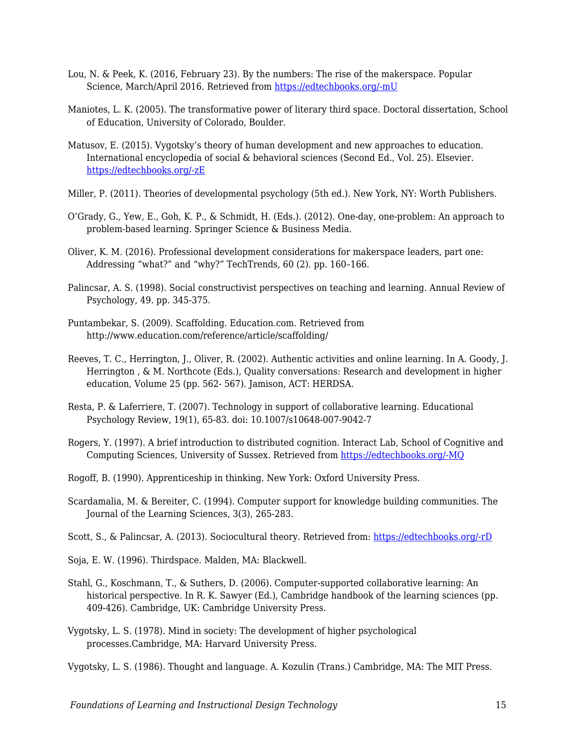- Lou, N. & Peek, K. (2016, February 23). By the numbers: The rise of the makerspace. Popular Science, March/April 2016. Retrieved from [https://edtechbooks.org/-mU](http://www.popsci.com/rise-makerspace-by-numbers)
- Maniotes, L. K. (2005). The transformative power of literary third space. Doctoral dissertation, School of Education, University of Colorado, Boulder.
- Matusov, E. (2015). Vygotsky's theory of human development and new approaches to education. International encyclopedia of social & behavioral sciences (Second Ed., Vol. 25). Elsevier. [https://edtechbooks.org/-zE](https://doi.org/10.1016/B978-0-08-097086-8.92016-6)
- Miller, P. (2011). Theories of developmental psychology (5th ed.). New York, NY: Worth Publishers.
- O'Grady, G., Yew, E., Goh, K. P., & Schmidt, H. (Eds.). (2012). One-day, one-problem: An approach to problem-based learning. Springer Science & Business Media.
- Oliver, K. M. (2016). Professional development considerations for makerspace leaders, part one: Addressing "what?" and "why?" TechTrends, 60 (2). pp. 160–166.
- Palincsar, A. S. (1998). Social constructivist perspectives on teaching and learning. Annual Review of Psychology, 49. pp. 345-375.
- Puntambekar, S. (2009). Scaffolding. Education.com. Retrieved from http://www.education.com/reference/article/scaffolding/
- Reeves, T. C., Herrington, J., Oliver, R. (2002). Authentic activities and online learning. In A. Goody, J. Herrington , & M. Northcote (Eds.), Quality conversations: Research and development in higher education, Volume 25 (pp. 562- 567). Jamison, ACT: HERDSA.
- Resta, P. & Laferriere, T. (2007). Technology in support of collaborative learning. Educational Psychology Review, 19(1), 65-83. doi: 10.1007/s10648-007-9042-7
- Rogers, Y. (1997). A brief introduction to distributed cognition. Interact Lab, School of Cognitive and Computing Sciences, University of Sussex. Retrieved from [https://edtechbooks.org/-MQ](http://mcs.open.ac.uk/yr258/papers/dcog/dcog-brief-intro.pdf)
- Rogoff, B. (1990). Apprenticeship in thinking. New York: Oxford University Press.
- Scardamalia, M. & Bereiter, C. (1994). Computer support for knowledge building communities. The Journal of the Learning Sciences, 3(3), 265-283.
- Scott, S., & Palincsar, A. (2013). Sociocultural theory. Retrieved from: [https://edtechbooks.org/-rD](http://dr-hatfield.com/theorists/resources/sociocultural_theory.pdf)
- Soja, E. W. (1996). Thirdspace. Malden, MA: Blackwell.
- Stahl, G., Koschmann, T., & Suthers, D. (2006). Computer-supported collaborative learning: An historical perspective. In R. K. Sawyer (Ed.), Cambridge handbook of the learning sciences (pp. 409-426). Cambridge, UK: Cambridge University Press.
- Vygotsky, L. S. (1978). Mind in society: The development of higher psychological processes.Cambridge, MA: Harvard University Press.

Vygotsky, L. S. (1986). Thought and language. A. Kozulin (Trans.) Cambridge, MA: The MIT Press.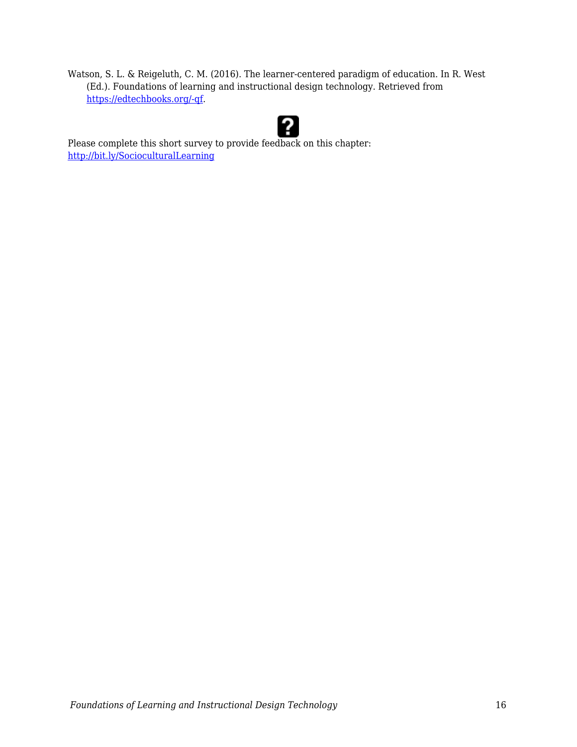Watson, S. L. & Reigeluth, C. M. (2016). The learner-centered paradigm of education. In R. West (Ed.). Foundations of learning and instructional design technology. Retrieved from [https://edtechbooks.org/-qf](https://lidtfoundations.pressbooks.com/chapter/systemic-change/).



Please complete this short survey to provide feedback on this chapter: <http://bit.ly/SocioculturalLearning>